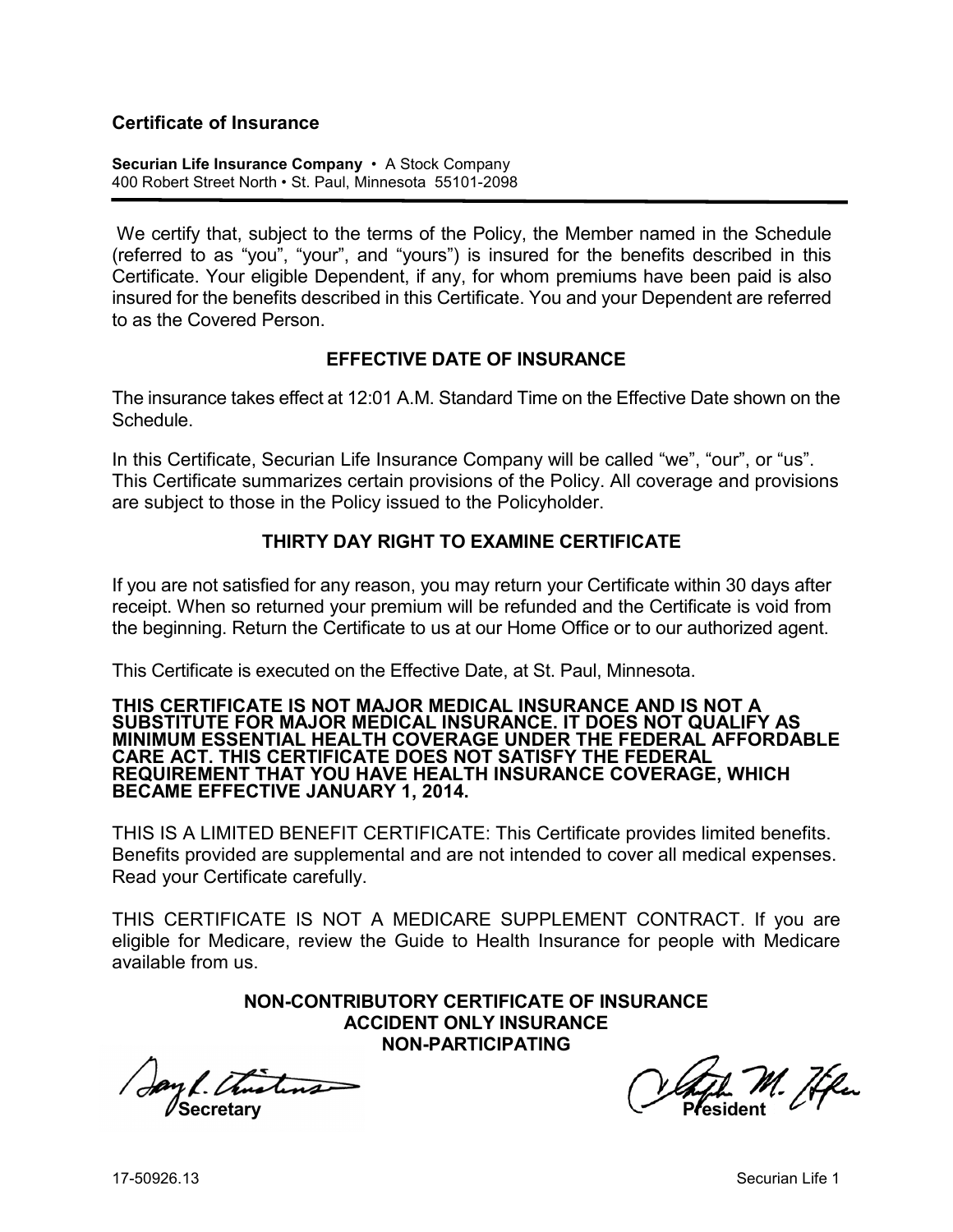#### **Certificate of Insurance**

**Securian Life Insurance Company** • A Stock Company 400 Robert Street North • St. Paul, Minnesota 55101-2098

We certify that, subject to the terms of the Policy, the Member named in the Schedule (referred to as "you", "your", and "yours") is insured for the benefits described in this Certificate. Your eligible Dependent, if any, for whom premiums have been paid is also insured for the benefits described in this Certificate. You and your Dependent are referred to as the Covered Person.

#### **EFFECTIVE DATE OF INSURANCE**

The insurance takes effect at 12:01 A.M. Standard Time on the Effective Date shown on the **Schedule** 

In this Certificate, Securian Life Insurance Company will be called "we", "our", or "us". This Certificate summarizes certain provisions of the Policy. All coverage and provisions are subject to those in the Policy issued to the Policyholder.

## **THIRTY DAY RIGHT TO EXAMINE CERTIFICATE**

If you are not satisfied for any reason, you may return your Certificate within 30 days after receipt. When so returned your premium will be refunded and the Certificate is void from the beginning. Return the Certificate to us at our Home Office or to our authorized agent.

This Certificate is executed on the Effective Date, at St. Paul, Minnesota.

#### **THIS CERTIFICATE IS NOT MAJOR MEDICAL INSURANCE AND IS NOT A SUBSTITUTE FOR MAJOR MEDICAL INSURANCE. IT DOES NOT QUALIFY AS MINIMUM ESSENTIAL HEALTH COVERAGE UNDER THE FEDERAL AFFORDABLE CARE ACT. THIS CERTIFICATE DOES NOT SATISFY THE FEDERAL REQUIREMENT THAT YOU HAVE HEALTH INSURANCE COVERAGE, WHICH BECAME EFFECTIVE JANUARY 1, 2014.**

THIS IS A LIMITED BENEFIT CERTIFICATE: This Certificate provides limited benefits. Benefits provided are supplemental and are not intended to cover all medical expenses. Read your Certificate carefully.

THIS CERTIFICATE IS NOT A MEDICARE SUPPLEMENT CONTRACT. If you are eligible for Medicare, review the Guide to Health Insurance for people with Medicare available from us.

> **NON-CONTRIBUTORY CERTIFICATE OF INSURANCE ACCIDENT ONLY INSURANCE NON-PARTICIPATING**

**Secretary Construction Construction Construction President** 

M. Æku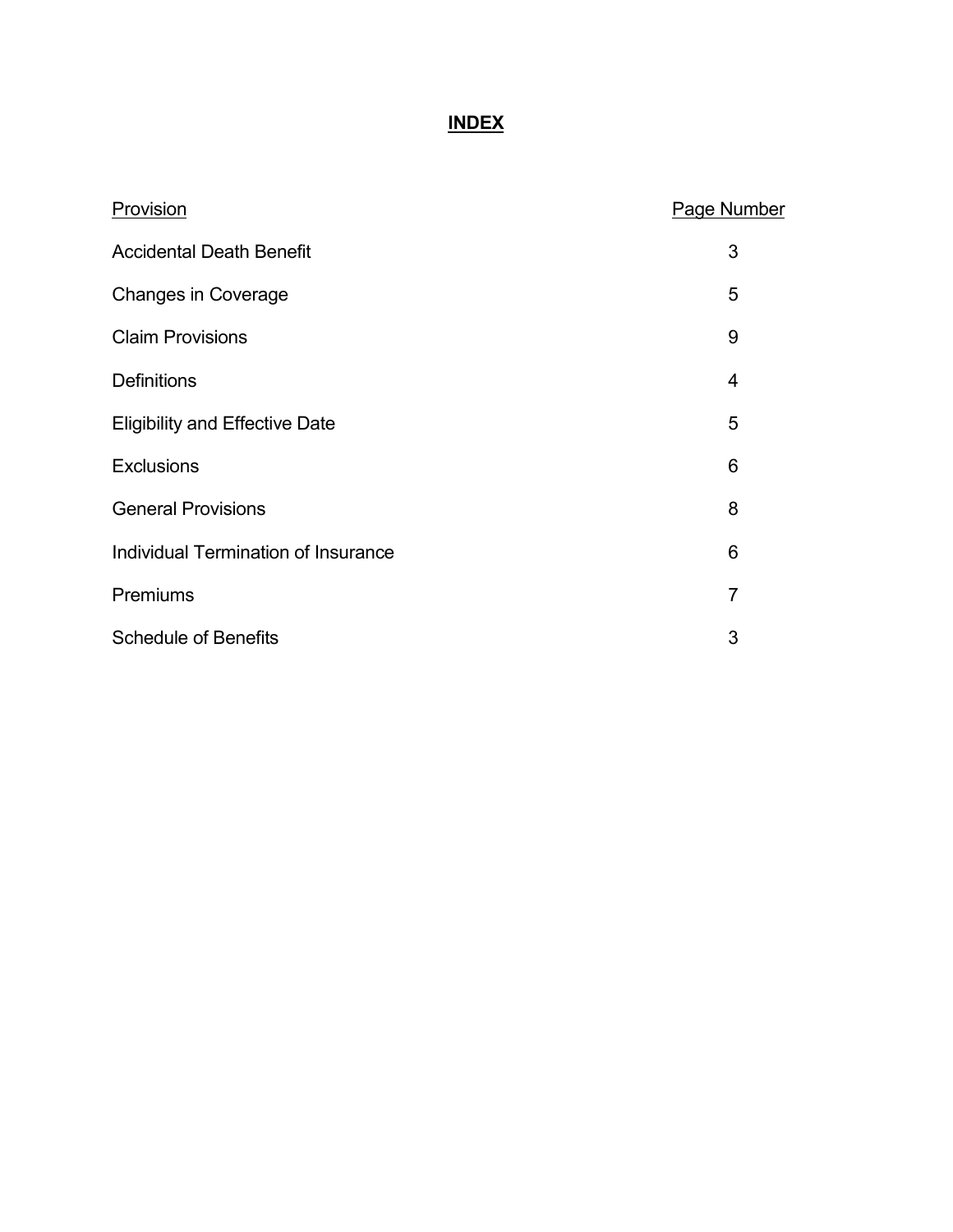# **INDEX**

| Provision                             | Page Number    |
|---------------------------------------|----------------|
| <b>Accidental Death Benefit</b>       | 3              |
| <b>Changes in Coverage</b>            | 5              |
| <b>Claim Provisions</b>               | 9              |
| <b>Definitions</b>                    | 4              |
| <b>Eligibility and Effective Date</b> | 5              |
| <b>Exclusions</b>                     | 6              |
| <b>General Provisions</b>             | 8              |
| Individual Termination of Insurance   | 6              |
| Premiums                              | $\overline{7}$ |
| <b>Schedule of Benefits</b>           | 3              |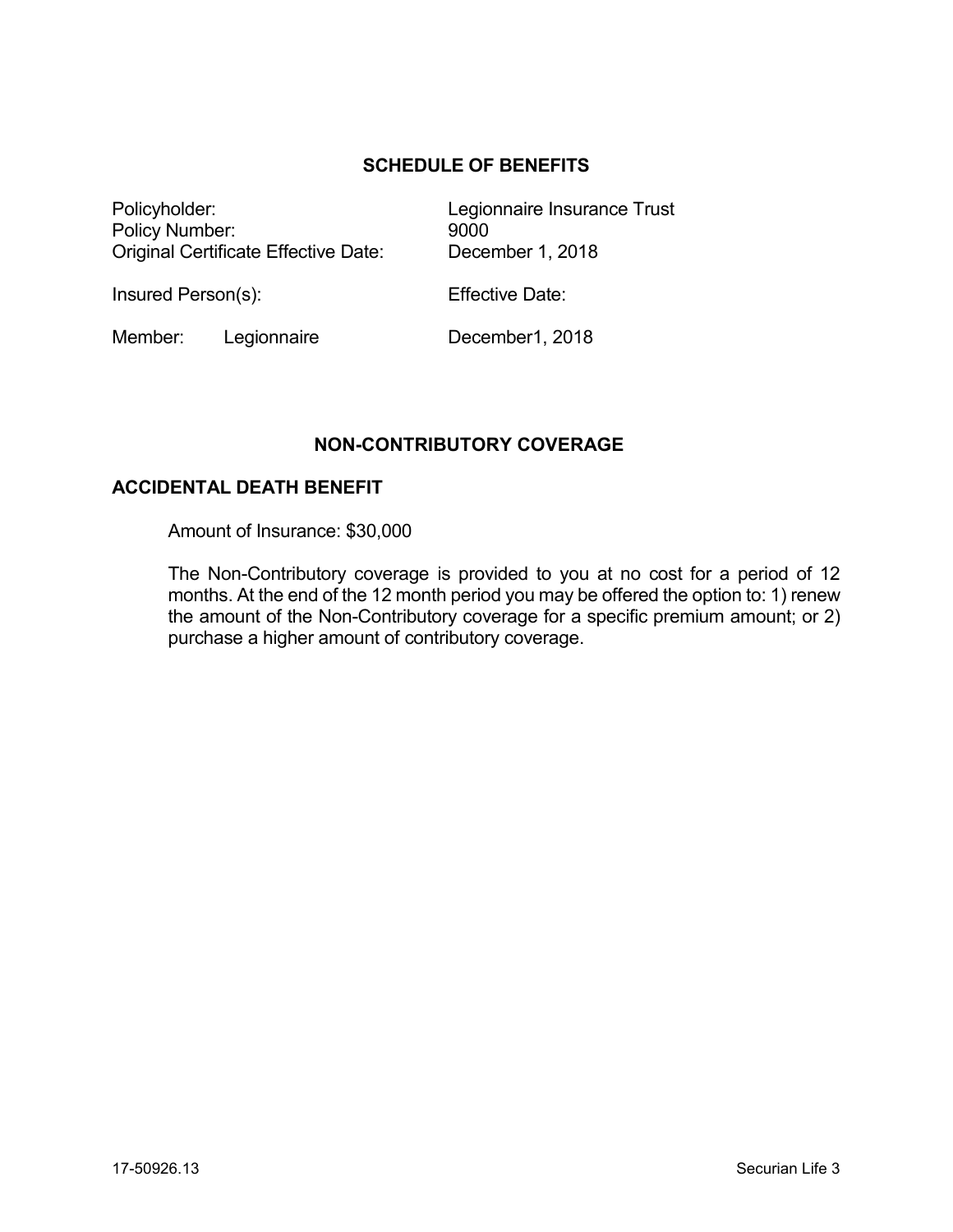## **SCHEDULE OF BENEFITS**

Policyholder: Legionnaire Insurance Trust Policy Number: 9000 Original Certificate Effective Date: December 1, 2018

Insured Person(s): Effective Date:

Member: Legionnaire December1, 2018

## **NON-CONTRIBUTORY COVERAGE**

#### **ACCIDENTAL DEATH BENEFIT**

Amount of Insurance: \$30,000

The Non-Contributory coverage is provided to you at no cost for a period of 12 months. At the end of the 12 month period you may be offered the option to: 1) renew the amount of the Non-Contributory coverage for a specific premium amount; or 2) purchase a higher amount of contributory coverage.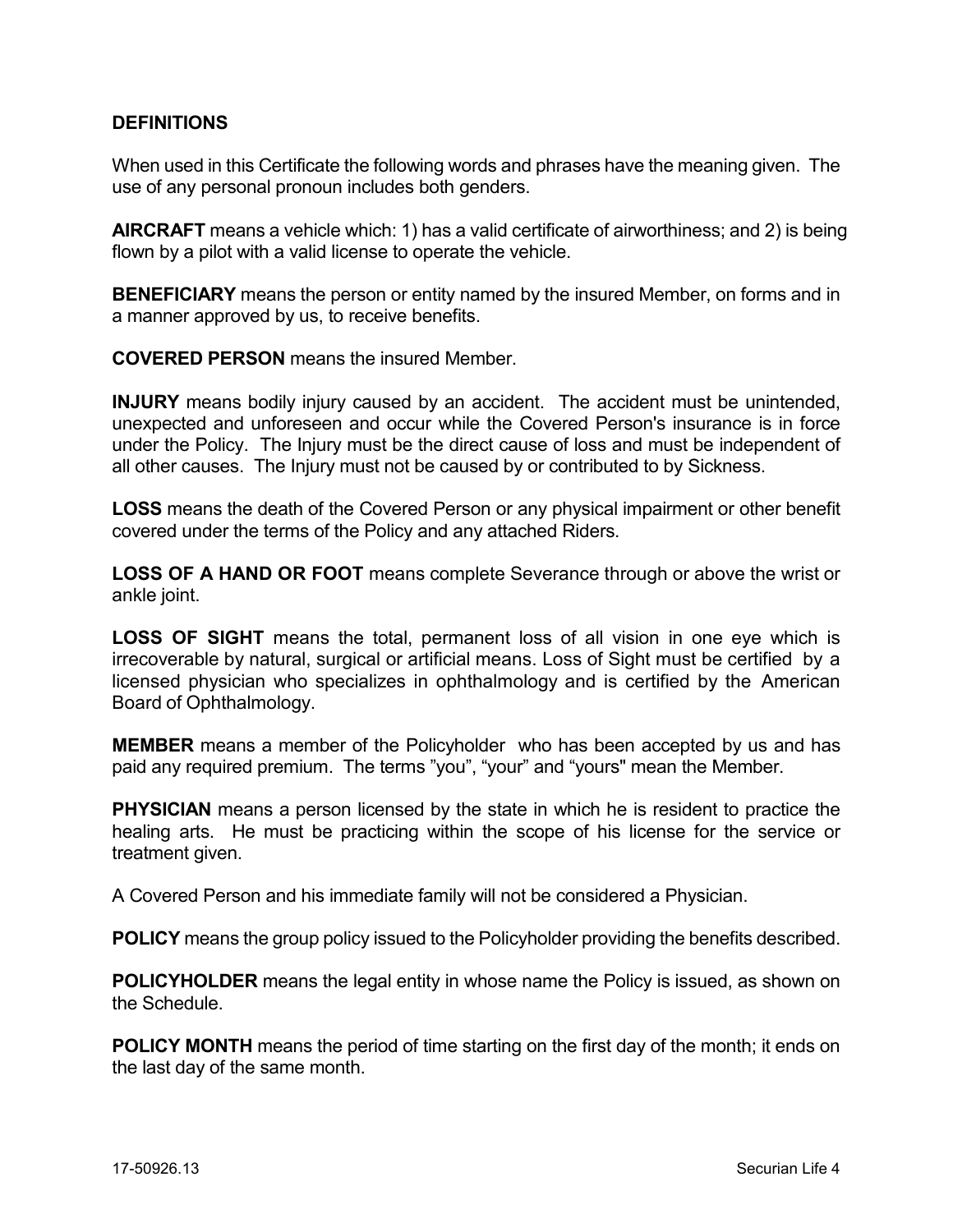#### **DEFINITIONS**

When used in this Certificate the following words and phrases have the meaning given. The use of any personal pronoun includes both genders.

**AIRCRAFT** means a vehicle which: 1) has a valid certificate of airworthiness; and 2) is being flown by a pilot with a valid license to operate the vehicle.

**BENEFICIARY** means the person or entity named by the insured Member, on forms and in a manner approved by us, to receive benefits.

**COVERED PERSON** means the insured Member.

**INJURY** means bodily injury caused by an accident. The accident must be unintended, unexpected and unforeseen and occur while the Covered Person's insurance is in force under the Policy. The Injury must be the direct cause of loss and must be independent of all other causes. The Injury must not be caused by or contributed to by Sickness.

**LOSS** means the death of the Covered Person or any physical impairment or other benefit covered under the terms of the Policy and any attached Riders.

**LOSS OF A HAND OR FOOT** means complete Severance through or above the wrist or ankle joint.

**LOSS OF SIGHT** means the total, permanent loss of all vision in one eye which is irrecoverable by natural, surgical or artificial means. Loss of Sight must be certified by a licensed physician who specializes in ophthalmology and is certified by the American Board of Ophthalmology.

**MEMBER** means a member of the Policyholder who has been accepted by us and has paid any required premium. The terms "you", "your" and "yours" mean the Member.

**PHYSICIAN** means a person licensed by the state in which he is resident to practice the healing arts. He must be practicing within the scope of his license for the service or treatment given.

A Covered Person and his immediate family will not be considered a Physician.

**POLICY** means the group policy issued to the Policyholder providing the benefits described.

**POLICYHOLDER** means the legal entity in whose name the Policy is issued, as shown on the Schedule.

**POLICY MONTH** means the period of time starting on the first day of the month; it ends on the last day of the same month.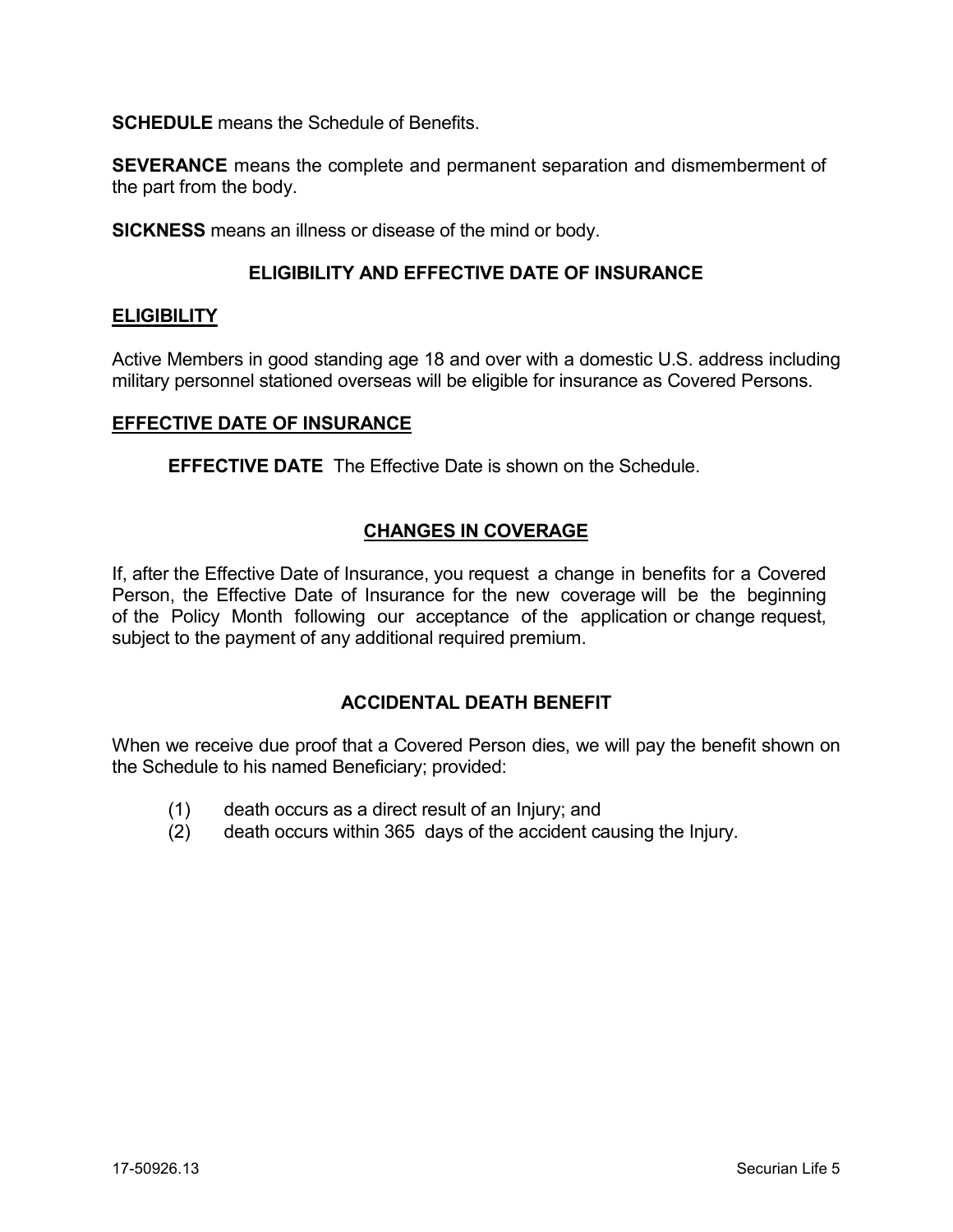**SCHEDULE** means the Schedule of Benefits.

**SEVERANCE** means the complete and permanent separation and dismemberment of the part from the body.

**SICKNESS** means an illness or disease of the mind or body.

#### **ELIGIBILITY AND EFFECTIVE DATE OF INSURANCE**

#### **ELIGIBILITY**

Active Members in good standing age 18 and over with a domestic U.S. address including military personnel stationed overseas will be eligible for insurance as Covered Persons.

#### **EFFECTIVE DATE OF INSURANCE**

**EFFECTIVE DATE** The Effective Date is shown on the Schedule.

#### **CHANGES IN COVERAGE**

If, after the Effective Date of Insurance, you request a change in benefits for a Covered Person, the Effective Date of Insurance for the new coverage will be the beginning of the Policy Month following our acceptance of the application or change request, subject to the payment of any additional required premium.

#### **ACCIDENTAL DEATH BENEFIT**

When we receive due proof that a Covered Person dies, we will pay the benefit shown on the Schedule to his named Beneficiary; provided:

- (1) death occurs as a direct result of an Injury; and
- (2) death occurs within 365 days of the accident causing the Injury.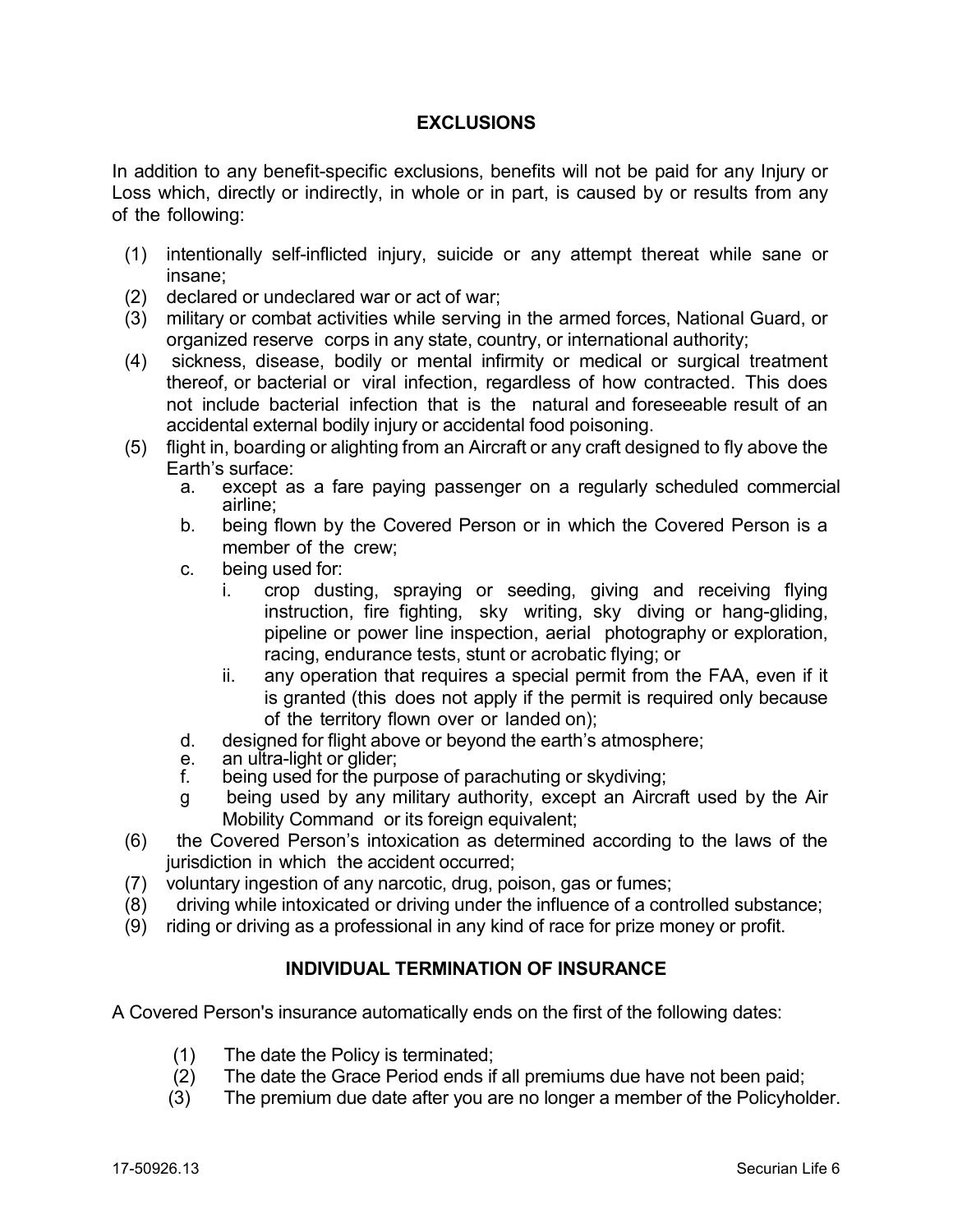### **EXCLUSIONS**

In addition to any benefit-specific exclusions, benefits will not be paid for any Injury or Loss which, directly or indirectly, in whole or in part, is caused by or results from any of the following:

- (1) intentionally self-inflicted injury, suicide or any attempt thereat while sane or insane;
- (2) declared or undeclared war or act of war;
- (3) military or combat activities while serving in the armed forces, National Guard, or organized reserve corps in any state, country, or international authority;
- (4) sickness, disease, bodily or mental infirmity or medical or surgical treatment thereof, or bacterial or viral infection, regardless of how contracted. This does not include bacterial infection that is the natural and foreseeable result of an accidental external bodily injury or accidental food poisoning.
- (5) flight in, boarding or alighting from an Aircraft or any craft designed to fly above the Earth's surface:
	- a. except as a fare paying passenger on a regularly scheduled commercial airline;
	- b. being flown by the Covered Person or in which the Covered Person is a member of the crew;
	- c. being used for:
		- i. crop dusting, spraying or seeding, giving and receiving flying instruction, fire fighting, sky writing, sky diving or hang-gliding, pipeline or power line inspection, aerial photography or exploration, racing, endurance tests, stunt or acrobatic flying; or
		- ii. any operation that requires a special permit from the FAA, even if it is granted (this does not apply if the permit is required only because of the territory flown over or landed on);
	- d. designed for flight above or beyond the earth's atmosphere;
	- e. an ultra-light or glider;<br>f. being used for the pur
	- being used for the purpose of parachuting or skydiving;
	- g being used by any military authority, except an Aircraft used by the Air Mobility Command or its foreign equivalent;
- (6) the Covered Person's intoxication as determined according to the laws of the jurisdiction in which the accident occurred;
- (7) voluntary ingestion of any narcotic, drug, poison, gas or fumes;
- (8) driving while intoxicated or driving under the influence of a controlled substance;
- (9) riding or driving as a professional in any kind of race for prize money or profit.

#### **INDIVIDUAL TERMINATION OF INSURANCE**

A Covered Person's insurance automatically ends on the first of the following dates:

- (1) The date the Policy is terminated;
- (2) The date the Grace Period ends if all premiums due have not been paid;
- (3) The premium due date after you are no longer a member of the Policyholder.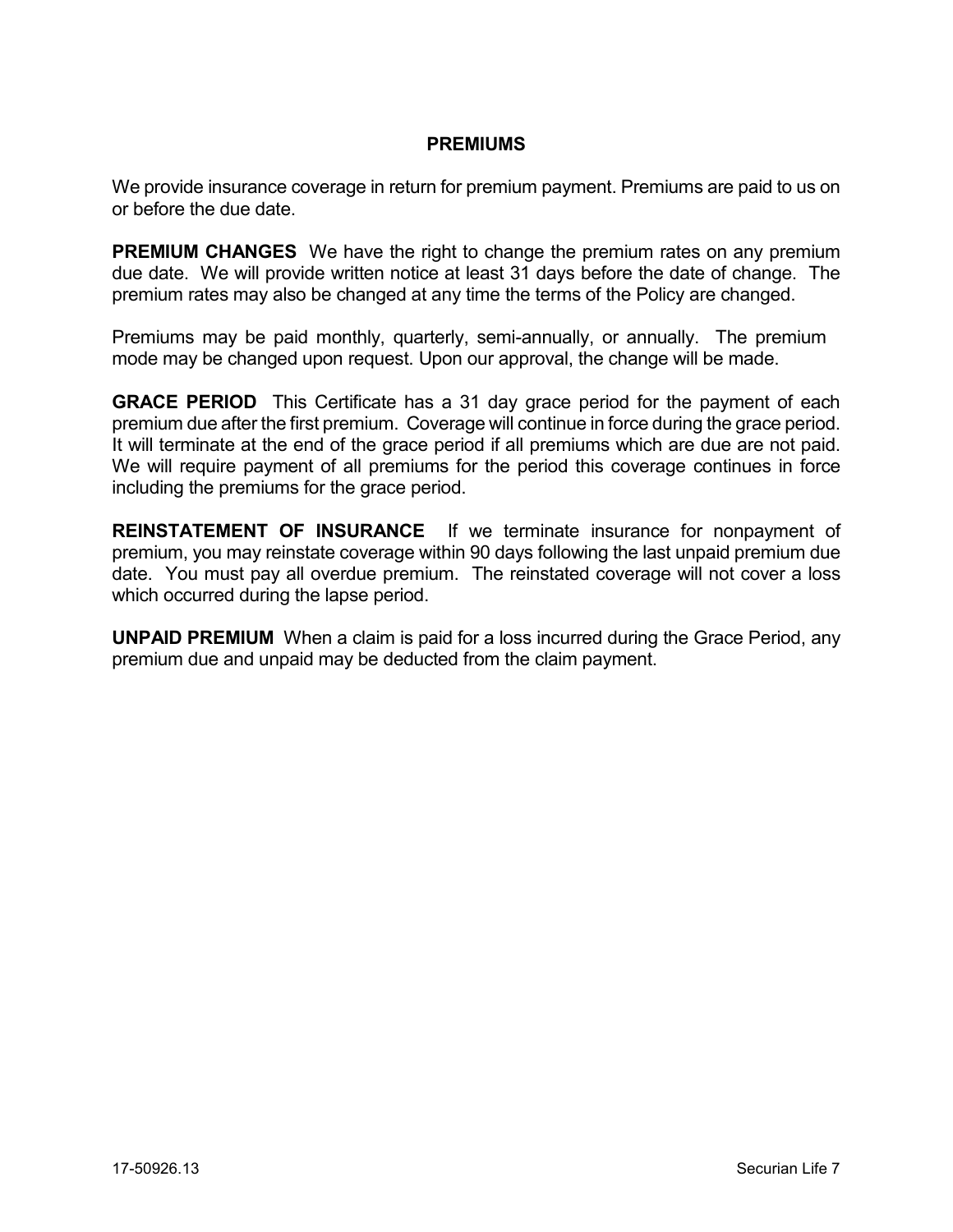#### **PREMIUMS**

We provide insurance coverage in return for premium payment. Premiums are paid to us on or before the due date.

**PREMIUM CHANGES** We have the right to change the premium rates on any premium due date. We will provide written notice at least 31 days before the date of change. The premium rates may also be changed at any time the terms of the Policy are changed.

Premiums may be paid monthly, quarterly, semi-annually, or annually. The premium mode may be changed upon request. Upon our approval, the change will be made.

**GRACE PERIOD** This Certificate has a 31 day grace period for the payment of each premium due after the first premium. Coverage will continue in force during the grace period. It will terminate at the end of the grace period if all premiums which are due are not paid. We will require payment of all premiums for the period this coverage continues in force including the premiums for the grace period.

**REINSTATEMENT OF INSURANCE** If we terminate insurance for nonpayment of premium, you may reinstate coverage within 90 days following the last unpaid premium due date. You must pay all overdue premium. The reinstated coverage will not cover a loss which occurred during the lapse period.

**UNPAID PREMIUM** When a claim is paid for a loss incurred during the Grace Period, any premium due and unpaid may be deducted from the claim payment.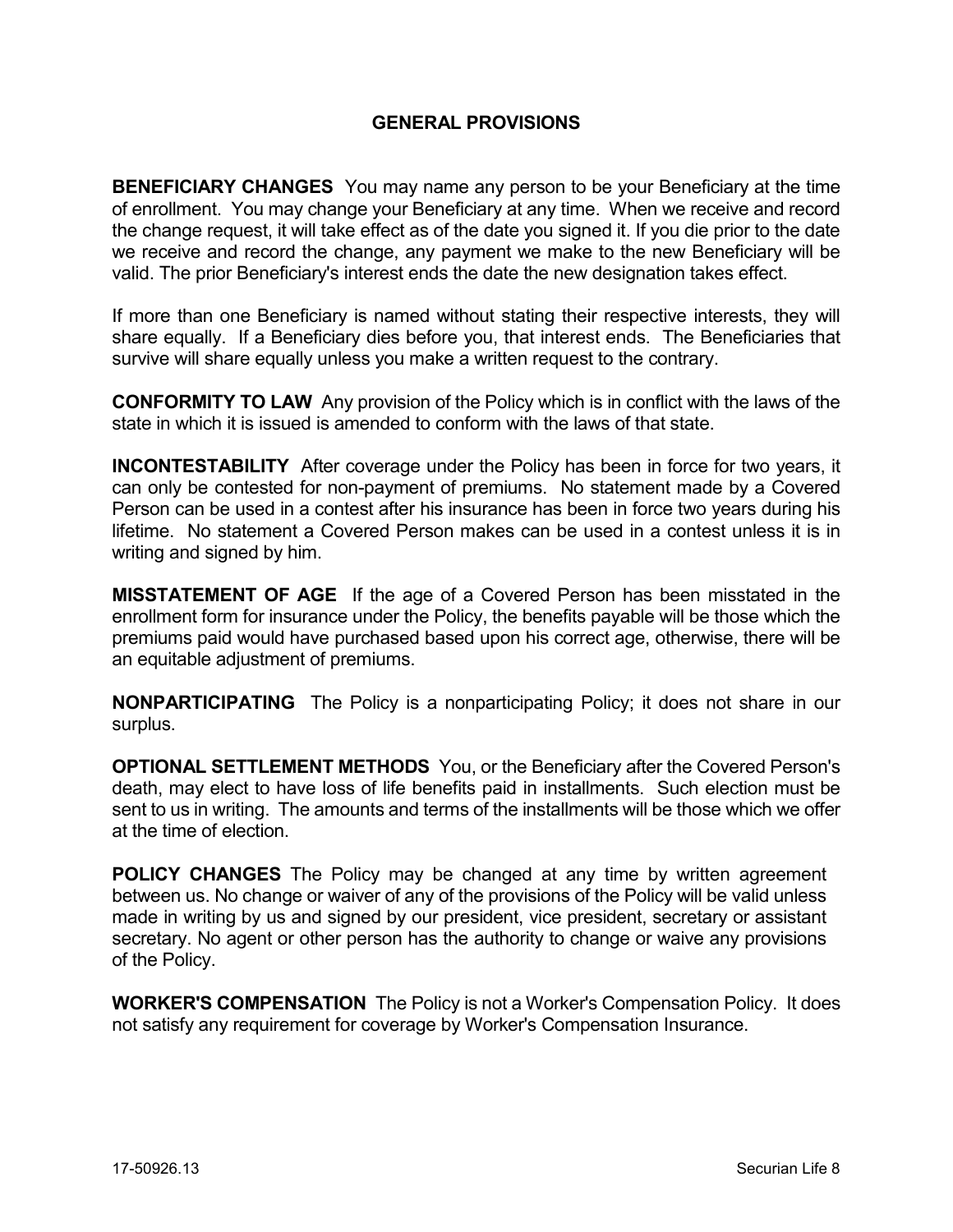#### **GENERAL PROVISIONS**

**BENEFICIARY CHANGES** You may name any person to be your Beneficiary at the time of enrollment. You may change your Beneficiary at any time. When we receive and record the change request, it will take effect as of the date you signed it. If you die prior to the date we receive and record the change, any payment we make to the new Beneficiary will be valid. The prior Beneficiary's interest ends the date the new designation takes effect.

If more than one Beneficiary is named without stating their respective interests, they will share equally. If a Beneficiary dies before you, that interest ends. The Beneficiaries that survive will share equally unless you make a written request to the contrary.

**CONFORMITY TO LAW** Any provision of the Policy which is in conflict with the laws of the state in which it is issued is amended to conform with the laws of that state.

**INCONTESTABILITY** After coverage under the Policy has been in force for two years, it can only be contested for non-payment of premiums. No statement made by a Covered Person can be used in a contest after his insurance has been in force two years during his lifetime. No statement a Covered Person makes can be used in a contest unless it is in writing and signed by him.

**MISSTATEMENT OF AGE** If the age of a Covered Person has been misstated in the enrollment form for insurance under the Policy, the benefits payable will be those which the premiums paid would have purchased based upon his correct age, otherwise, there will be an equitable adjustment of premiums.

**NONPARTICIPATING** The Policy is a nonparticipating Policy; it does not share in our surplus.

**OPTIONAL SETTLEMENT METHODS** You, or the Beneficiary after the Covered Person's death, may elect to have loss of life benefits paid in installments. Such election must be sent to us in writing. The amounts and terms of the installments will be those which we offer at the time of election.

**POLICY CHANGES** The Policy may be changed at any time by written agreement between us. No change or waiver of any of the provisions of the Policy will be valid unless made in writing by us and signed by our president, vice president, secretary or assistant secretary. No agent or other person has the authority to change or waive any provisions of the Policy.

**WORKER'S COMPENSATION** The Policy is not a Worker's Compensation Policy. It does not satisfy any requirement for coverage by Worker's Compensation Insurance.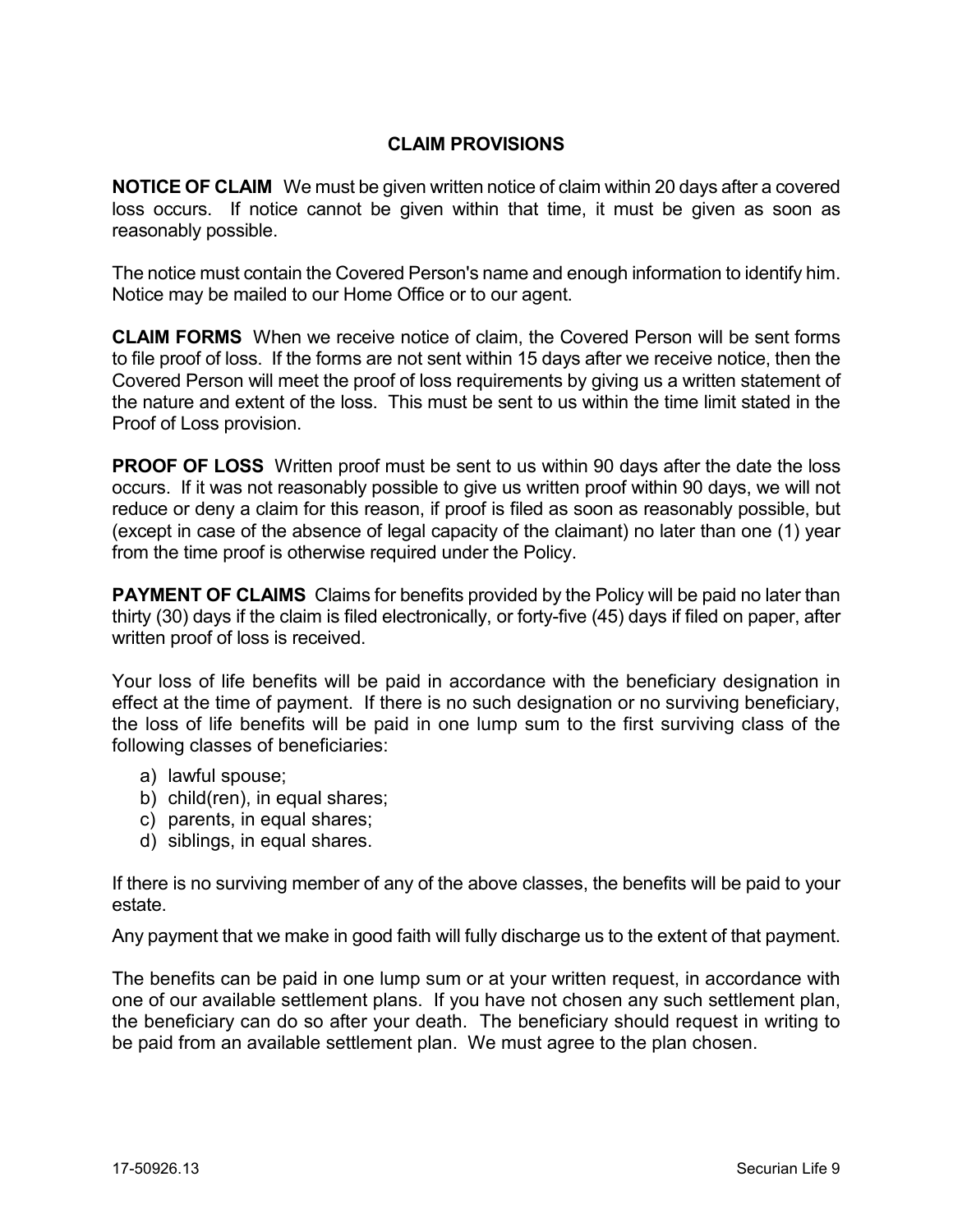## **CLAIM PROVISIONS**

**NOTICE OF CLAIM** We must be given written notice of claim within 20 days after a covered loss occurs. If notice cannot be given within that time, it must be given as soon as reasonably possible.

The notice must contain the Covered Person's name and enough information to identify him. Notice may be mailed to our Home Office or to our agent.

**CLAIM FORMS** When we receive notice of claim, the Covered Person will be sent forms to file proof of loss. If the forms are not sent within 15 days after we receive notice, then the Covered Person will meet the proof of loss requirements by giving us a written statement of the nature and extent of the loss. This must be sent to us within the time limit stated in the Proof of Loss provision.

**PROOF OF LOSS** Written proof must be sent to us within 90 days after the date the loss occurs. If it was not reasonably possible to give us written proof within 90 days, we will not reduce or deny a claim for this reason, if proof is filed as soon as reasonably possible, but (except in case of the absence of legal capacity of the claimant) no later than one (1) year from the time proof is otherwise required under the Policy.

**PAYMENT OF CLAIMS** Claims for benefits provided by the Policy will be paid no later than thirty (30) days if the claim is filed electronically, or forty-five (45) days if filed on paper, after written proof of loss is received.

Your loss of life benefits will be paid in accordance with the beneficiary designation in effect at the time of payment. If there is no such designation or no surviving beneficiary, the loss of life benefits will be paid in one lump sum to the first surviving class of the following classes of beneficiaries:

- a) lawful spouse;
- b) child(ren), in equal shares;
- c) parents, in equal shares;
- d) siblings, in equal shares.

If there is no surviving member of any of the above classes, the benefits will be paid to your estate.

Any payment that we make in good faith will fully discharge us to the extent of that payment.

The benefits can be paid in one lump sum or at your written request, in accordance with one of our available settlement plans. If you have not chosen any such settlement plan, the beneficiary can do so after your death. The beneficiary should request in writing to be paid from an available settlement plan. We must agree to the plan chosen.